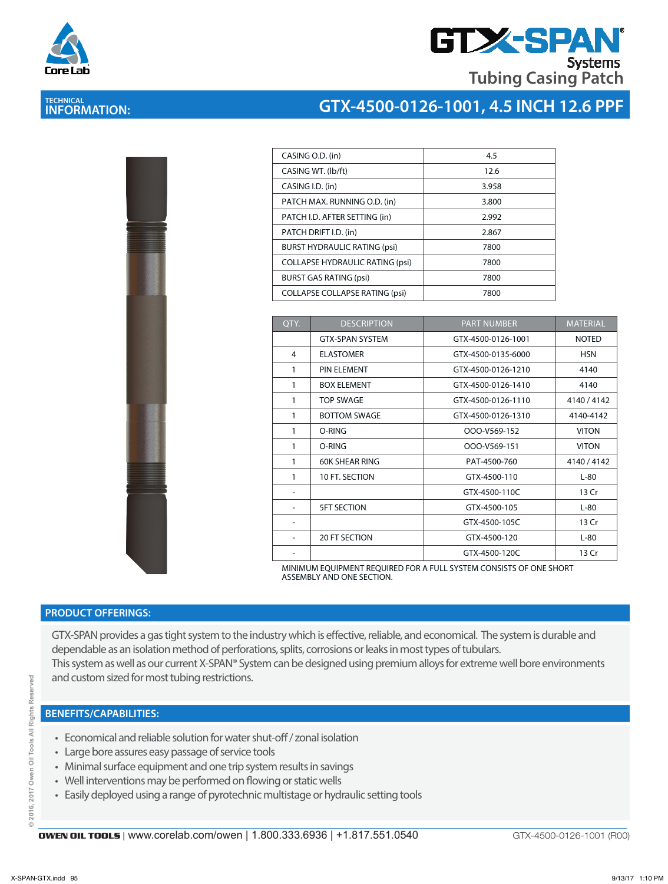

## **GTX-SPA Systems Tubing Casing Patch**

# **TECHNICAL INFORMATION:**

## **GTX-4500-0126-1001, 4.5 INCH 12.6 PPF**

| <b>The Committee of the Committee of the Committee of the Committee of the Committee</b> | l<br>ì |
|------------------------------------------------------------------------------------------|--------|
|                                                                                          | ļ<br>J |
| the property of the contract of the con-                                                 |        |
|                                                                                          |        |

| CASING O.D. (in)                       | 4.5   |
|----------------------------------------|-------|
| CASING WT. (lb/ft)                     | 12.6  |
| CASING I.D. (in)                       | 3.958 |
| PATCH MAX. RUNNING O.D. (in)           | 3.800 |
| PATCH I.D. AFTER SETTING (in)          | 2.992 |
| PATCH DRIFT I.D. (in)                  | 2.867 |
| <b>BURST HYDRAULIC RATING (psi)</b>    | 7800  |
| <b>COLLAPSE HYDRAULIC RATING (psi)</b> | 7800  |
| <b>BURST GAS RATING (psi)</b>          | 7800  |
| <b>COLLAPSE COLLAPSE RATING (psi)</b>  | 7800  |

| OTY. | <b>DESCRIPTION</b>     | <b>PART NUMBER</b> | <b>MATERIAL</b> |
|------|------------------------|--------------------|-----------------|
|      | <b>GTX-SPAN SYSTEM</b> | GTX-4500-0126-1001 | <b>NOTED</b>    |
| 4    | <b>ELASTOMER</b>       | GTX-4500-0135-6000 | <b>HSN</b>      |
| 1    | PIN ELEMENT            | GTX-4500-0126-1210 | 4140            |
| 1    | <b>BOX ELEMENT</b>     | GTX-4500-0126-1410 | 4140            |
| 1    | <b>TOP SWAGE</b>       | GTX-4500-0126-1110 | 4140/4142       |
| 1    | <b>BOTTOM SWAGE</b>    | GTX-4500-0126-1310 | 4140-4142       |
| 1    | O-RING                 | OOO-V569-152       | <b>VITON</b>    |
| 1    | O-RING                 | OOO-V569-151       | <b>VITON</b>    |
| 1    | <b>60K SHEAR RING</b>  | PAT-4500-760       | 4140 / 4142     |
| 1    | 10 FT. SECTION         | GTX-4500-110       | $L-80$          |
|      |                        | GTX-4500-110C      | 13 Cr           |
|      | <b>5FT SECTION</b>     | GTX-4500-105       | $L-80$          |
|      |                        | GTX-4500-105C      | 13 Cr           |
|      | <b>20 FT SECTION</b>   | GTX-4500-120       | $L-80$          |
|      |                        | GTX-4500-120C      | 13 Cr           |

MINIMUM EQUIPMENT REQUIRED FOR A FULL SYSTEM CONSISTS OF ONE SHORT ASSEMBLY AND ONE SECTION.

#### **PRODUCT OFFERINGS:**

GTX-SPAN provides a gas tight system to the industry which is effective, reliable, and economical. The system is durable and dependable as an isolation method of perforations, splits, corrosions or leaks in most types of tubulars. This system as well as our current X-SPAN® System can be designed using premium alloys for extreme well bore environments and custom sized for most tubing restrictions.

#### **BENEFITS/CAPABILITIES:**

- Economical and reliable solution for water shut-off / zonal isolation
- Large bore assures easy passage of service tools
- Minimal surface equipment and one trip system results in savings
- Well interventions may be performed on flowing or static wells
- Easily deployed using a range of pyrotechnic multistage or hydraulic setting tools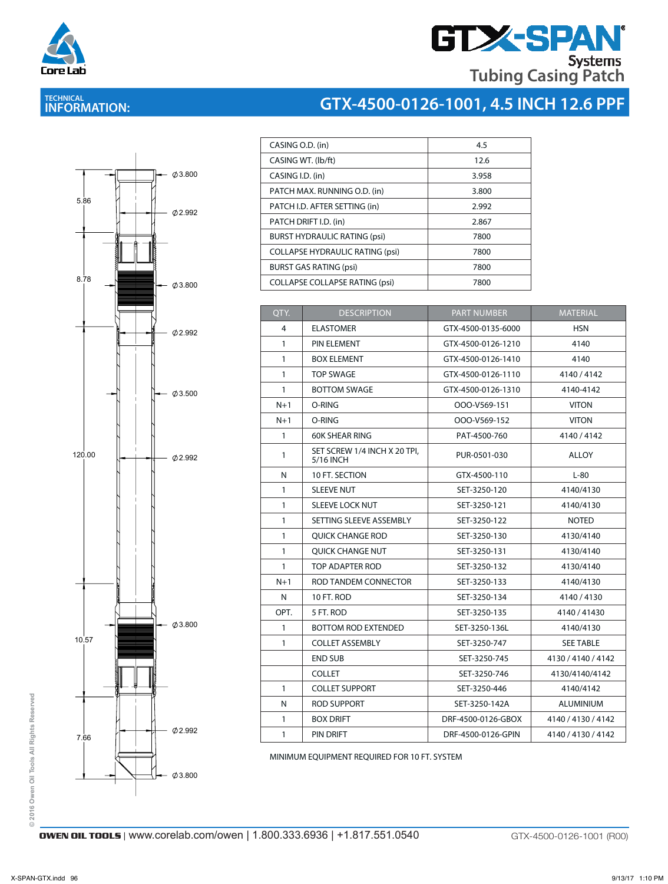

# **GTX-SPAN® Tubing Casing Patch**

**GTX-4500-0126-1001, 4.5 INCH 12.6 PPF**

# **TECHNICAL INFORMATION:**



| CASING O.D. (in)                       | 4.5   |
|----------------------------------------|-------|
| CASING WT. (lb/ft)                     | 12.6  |
| CASING I.D. (in)                       | 3.958 |
| PATCH MAX. RUNNING O.D. (in)           | 3.800 |
| PATCH I.D. AFTER SETTING (in)          | 2.992 |
| PATCH DRIFT I.D. (in)                  | 2.867 |
| <b>BURST HYDRAULIC RATING (psi)</b>    | 7800  |
| <b>COLLAPSE HYDRAULIC RATING (psi)</b> | 7800  |
| <b>BURST GAS RATING (psi)</b>          | 7800  |
| <b>COLLAPSE COLLAPSE RATING (psi)</b>  | 7800  |
|                                        |       |

| QTY.         | <b>DESCRIPTION</b>                        | <b>PART NUMBER</b> | <b>MATERIAL</b>    |
|--------------|-------------------------------------------|--------------------|--------------------|
| 4            | <b>ELASTOMER</b>                          | GTX-4500-0135-6000 | <b>HSN</b>         |
| $\mathbf{1}$ | PIN ELEMENT                               | GTX-4500-0126-1210 | 4140               |
| $\mathbf{1}$ | <b>BOX ELEMENT</b>                        | GTX-4500-0126-1410 | 4140               |
| $\mathbf{1}$ | <b>TOP SWAGE</b>                          | GTX-4500-0126-1110 | 4140/4142          |
| $\mathbf{1}$ | <b>BOTTOM SWAGE</b>                       | GTX-4500-0126-1310 | 4140-4142          |
| $N+1$        | O-RING                                    | OOO-V569-151       | <b>VITON</b>       |
| $N+1$        | O-RING                                    | OOO-V569-152       | <b>VITON</b>       |
| $\mathbf{1}$ | <b>60K SHEAR RING</b>                     | PAT-4500-760       | 4140 / 4142        |
| 1            | SET SCREW 1/4 INCH X 20 TPI,<br>5/16 INCH | PUR-0501-030       | ALLOY              |
| N            | 10 FT. SECTION                            | GTX-4500-110       | $L-80$             |
| $\mathbf{1}$ | <b>SLEEVE NUT</b>                         | SET-3250-120       | 4140/4130          |
| $\mathbf{1}$ | SLEEVE LOCK NUT                           | SET-3250-121       | 4140/4130          |
| $\mathbf{1}$ | SETTING SLEEVE ASSEMBLY                   | SET-3250-122       | <b>NOTED</b>       |
| $\mathbf{1}$ | QUICK CHANGE ROD                          | SET-3250-130       | 4130/4140          |
| $\mathbf{1}$ | OUICK CHANGE NUT                          | SET-3250-131       | 4130/4140          |
| $\mathbf{1}$ | TOP ADAPTER ROD                           | SET-3250-132       | 4130/4140          |
| $N+1$        | ROD TANDEM CONNECTOR                      | SET-3250-133       | 4140/4130          |
| N            | 10 FT. ROD                                | SET-3250-134       | 4140/4130          |
| OPT.         | 5 FT. ROD                                 | SET-3250-135       | 4140 / 41430       |
| $\mathbf{1}$ | <b>BOTTOM ROD EXTENDED</b>                | SET-3250-136L      | 4140/4130          |
| $\mathbf{1}$ | <b>COLLET ASSEMBLY</b>                    | SET-3250-747       | <b>SEE TABLE</b>   |
|              | <b>END SUB</b>                            | SET-3250-745       | 4130 / 4140 / 4142 |
|              | <b>COLLET</b>                             | SET-3250-746       | 4130/4140/4142     |
| $\mathbf{1}$ | <b>COLLET SUPPORT</b>                     | SET-3250-446       | 4140/4142          |
| N            | <b>ROD SUPPORT</b>                        | SET-3250-142A      | ALUMINIUM          |
| $\mathbf{1}$ | <b>BOX DRIFT</b>                          | DRF-4500-0126-GBOX | 4140 / 4130 / 4142 |
| $\mathbf{1}$ | PIN DRIFT                                 | DRF-4500-0126-GPIN | 4140 / 4130 / 4142 |

MINIMUM EQUIPMENT REQUIRED FOR 10 FT. SYSTEM

© 2016 Owen Oil Tools All Rights Reserved **© 2016 Owen Oil Tools All Rights Reserved**